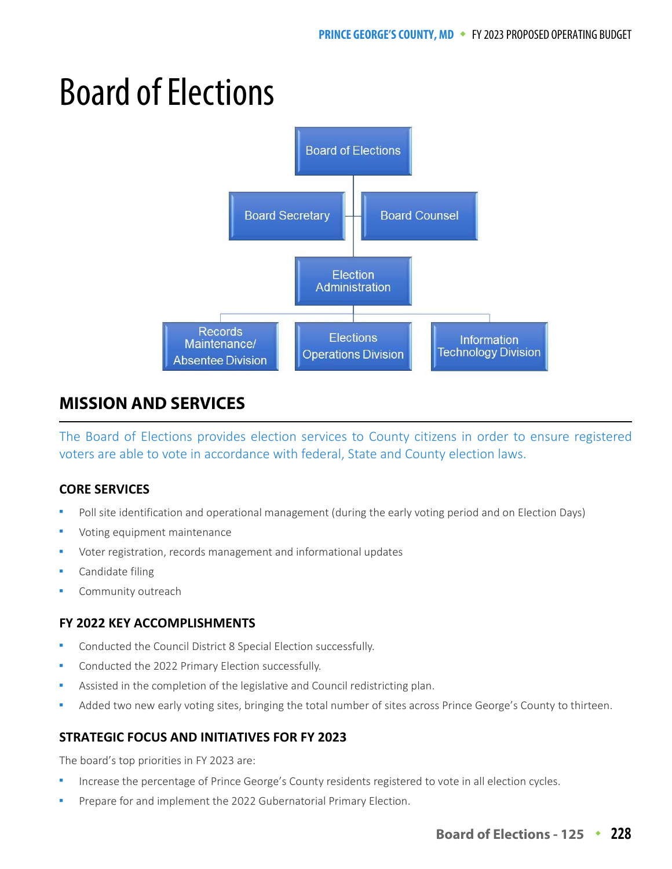# Board of Elections



## **MISSION AND SERVICES**

The Board of Elections provides election services to County citizens in order to ensure registered voters are able to vote in accordance with federal, State and County election laws.

#### **CORE SERVICES**

- Poll site identification and operational management (during the early voting period and on Election Days)
- Voting equipment maintenance
- Voter registration, records management and informational updates
- Candidate filing
- Community outreach

#### **FY 2022 KEY ACCOMPLISHMENTS**

- Conducted the Council District 8 Special Election successfully.
- Conducted the 2022 Primary Election successfully.
- Assisted in the completion of the legislative and Council redistricting plan.
- Added two new early voting sites, bringing the total number of sites across Prince George's County to thirteen.

#### **STRATEGIC FOCUS AND INITIATIVES FOR FY 2023**

The board's top priorities in FY 2023 are:

- Increase the percentage of Prince George's County residents registered to vote in all election cycles.
- Prepare for and implement the 2022 Gubernatorial Primary Election.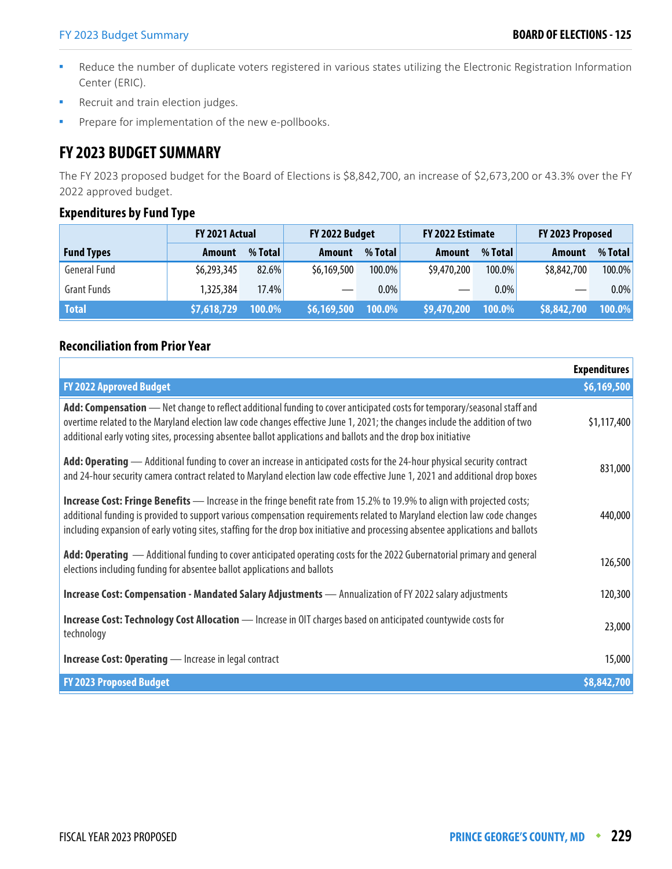- Reduce the number of duplicate voters registered in various states utilizing the Electronic Registration Information Center (ERIC).
- Recruit and train election judges.
- Prepare for implementation of the new e-pollbooks.

## **FY 2023 BUDGET SUMMARY**

The FY 2023 proposed budget for the Board of Elections is \$8,842,700, an increase of \$2,673,200 or 43.3% over the FY 2022 approved budget.

#### **Expenditures by Fund Type**

|                     | FY 2021 Actual |         |             | FY 2022 Budget<br>FY 2022 Estimate |             |           | FY 2023 Proposed |         |
|---------------------|----------------|---------|-------------|------------------------------------|-------------|-----------|------------------|---------|
| <b>Fund Types</b>   | <b>Amount</b>  | % Total | Amount      | % Total                            | Amount      | % Total   | Amount           | % Total |
| <b>General Fund</b> | \$6,293,345    | 82.6%   | \$6,169,500 | 100.0%                             | \$9,470,200 | $100.0\%$ | \$8,842,700      | 100.0%  |
| <b>Grant Funds</b>  | 1,325,384      | 17.4%   |             | $0.0\%$                            |             | $0.0\%$   |                  | $0.0\%$ |
| <b>Total</b>        | \$7,618,729    | 100.0%  | \$6,169,500 | 100.0%                             | \$9,470,200 | 100.0%    | \$8,842,700      | 100.0%  |

#### **Reconciliation from Prior Year**

|                                                                                                                                                                                                                                                                                                                                                                                                 | <b>Expenditures</b> |
|-------------------------------------------------------------------------------------------------------------------------------------------------------------------------------------------------------------------------------------------------------------------------------------------------------------------------------------------------------------------------------------------------|---------------------|
| <b>FY 2022 Approved Budget</b>                                                                                                                                                                                                                                                                                                                                                                  | \$6,169,500         |
| Add: Compensation - Net change to reflect additional funding to cover anticipated costs for temporary/seasonal staff and<br>overtime related to the Maryland election law code changes effective June 1, 2021; the changes include the addition of two<br>additional early voting sites, processing absentee ballot applications and ballots and the drop box initiative                        | \$1,117,400         |
| Add: Operating — Additional funding to cover an increase in anticipated costs for the 24-hour physical security contract<br>and 24-hour security camera contract related to Maryland election law code effective June 1, 2021 and additional drop boxes                                                                                                                                         | 831,000             |
| <b>Increase Cost: Fringe Benefits</b> — Increase in the fringe benefit rate from 15.2% to 19.9% to align with projected costs;<br>additional funding is provided to support various compensation requirements related to Maryland election law code changes<br>including expansion of early voting sites, staffing for the drop box initiative and processing absentee applications and ballots | 440,000             |
| Add: Operating — Additional funding to cover anticipated operating costs for the 2022 Gubernatorial primary and general<br>elections including funding for absentee ballot applications and ballots                                                                                                                                                                                             | 126,500             |
| Increase Cost: Compensation - Mandated Salary Adjustments - Annualization of FY 2022 salary adjustments                                                                                                                                                                                                                                                                                         | 120,300             |
| Increase Cost: Technology Cost Allocation - Increase in OIT charges based on anticipated countywide costs for<br>technology                                                                                                                                                                                                                                                                     | 23,000              |
| <b>Increase Cost: Operating</b> - Increase in legal contract                                                                                                                                                                                                                                                                                                                                    | 15,000              |
| <b>FY 2023 Proposed Budget</b>                                                                                                                                                                                                                                                                                                                                                                  | \$8,842,700         |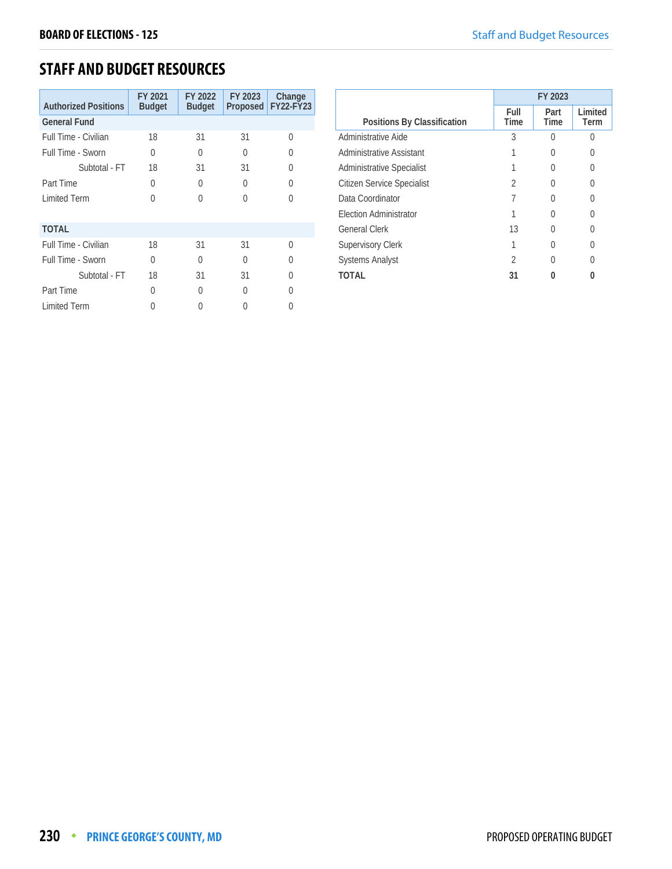## **STAFF AND BUDGET RESOURCES**

| <b>Authorized Positions</b> | FY 2021<br><b>Budget</b> | FY 2022<br><b>Budget</b> | FY 2023  | Change<br>Proposed FY22-FY23 |
|-----------------------------|--------------------------|--------------------------|----------|------------------------------|
| <b>General Fund</b>         |                          |                          |          |                              |
| Full Time - Civilian        | 18                       | 31                       | 31       | U                            |
| Full Time - Sworn           | 0                        | $\Omega$                 | O        | U                            |
| Subtotal - FT               | 18                       | 31                       | 31       |                              |
| Part Time                   | 0                        | $\Omega$                 | $\Omega$ | Λ                            |
| <b>Limited Term</b>         | 0                        | $\left( \right)$         | O        | 0                            |
| <b>TOTAL</b>                |                          |                          |          |                              |
| Full Time - Civilian        | 18                       | 31                       | 31       | $\Omega$                     |
| Full Time - Sworn           | 0                        | $\Omega$                 | 0        | U                            |
| Subtotal - FT               | 18                       | 31                       | 31       | Λ                            |
| Part Time                   | U                        | <sup>0</sup>             | 0        |                              |
| <b>Limited Term</b>         |                          |                          |          |                              |

|                                  | FY 2023      |              |                  |  |
|----------------------------------|--------------|--------------|------------------|--|
| Positions By Classification      | Full<br>Time | Part<br>Time | I imited<br>Term |  |
| Administrative Aide              | 3            |              |                  |  |
| Administrative Assistant         |              |              |                  |  |
| <b>Administrative Specialist</b> |              |              |                  |  |
| Citizen Service Specialist       | 2            |              |                  |  |
| Data Coordinator                 |              |              |                  |  |
| <b>Election Administrator</b>    |              |              |                  |  |
| <b>General Clerk</b>             | 13           |              |                  |  |
| <b>Supervisory Clerk</b>         |              |              |                  |  |
| <b>Systems Analyst</b>           | 2            |              |                  |  |
| TOTAL                            | 31           |              |                  |  |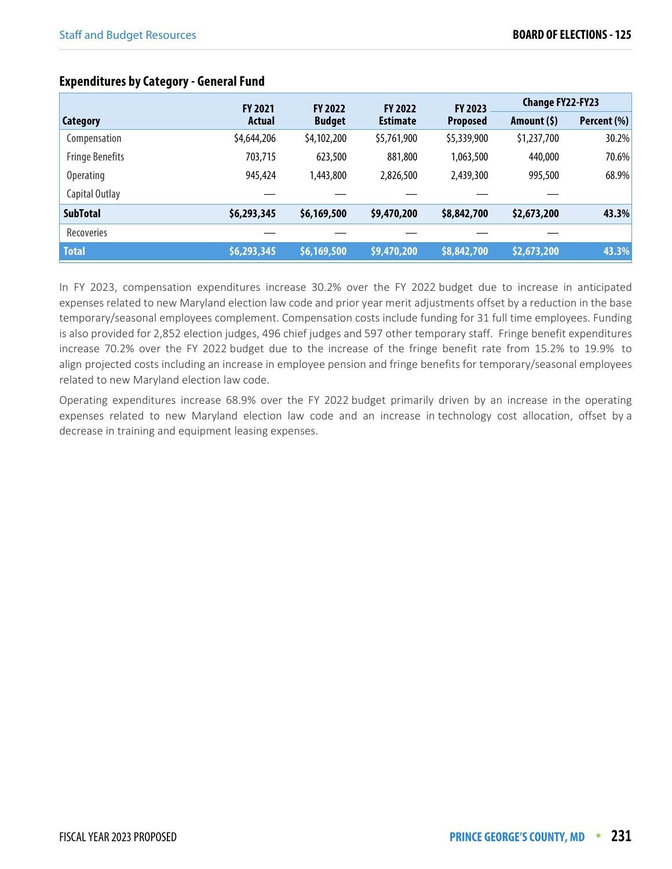|                        | <b>FY 2021</b>                             | <b>FY 2022</b> | <b>FY 2022</b>  | FY 2023      | <b>Change FY22-FY23</b> |       |
|------------------------|--------------------------------------------|----------------|-----------------|--------------|-------------------------|-------|
| Category               | <b>Estimate</b><br><b>Budget</b><br>Actual |                | <b>Proposed</b> | Amount $(5)$ | Percent (%)             |       |
| Compensation           | \$4,644,206                                | \$4,102,200    | \$5,761,900     | \$5,339,900  | \$1,237,700             | 30.2% |
| <b>Fringe Benefits</b> | 703,715                                    | 623,500        | 881,800         | 1,063,500    | 440,000                 | 70.6% |
| <b>Operating</b>       | 945,424                                    | 1,443,800      | 2,826,500       | 2,439,300    | 995,500                 | 68.9% |
| Capital Outlay         |                                            |                |                 |              |                         |       |
| <b>SubTotal</b>        | \$6,293,345                                | \$6,169,500    | \$9,470,200     | \$8,842,700  | \$2,673,200             | 43.3% |
| <b>Recoveries</b>      |                                            |                |                 |              |                         |       |
| <b>Total</b>           | \$6,293,345                                | \$6,169,500    | \$9,470,200     | \$8,842,700  | \$2,673,200             | 43.3% |

#### **Expenditures by Category - General Fund**

In FY 2023, compensation expenditures increase 30.2% over the FY 2022 budget due to increase in anticipated expenses related to new Maryland election law code and prior year merit adjustments offset by a reduction in the base temporary/seasonal employees complement. Compensation costs include funding for 31 full time employees. Funding is also provided for 2,852 election judges, 496 chief judges and 597 other temporary staff. Fringe benefit expenditures increase 70.2% over the FY 2022 budget due to the increase of the fringe benefit rate from 15.2% to 19.9% to align projected costs including an increase in employee pension and fringe benefits for temporary/seasonal employees related to new Maryland election law code.

Operating expenditures increase 68.9% over the FY 2022 budget primarily driven by an increase in the operating expenses related to new Maryland election law code and an increase in technology cost allocation, offset by a decrease in training and equipment leasing expenses.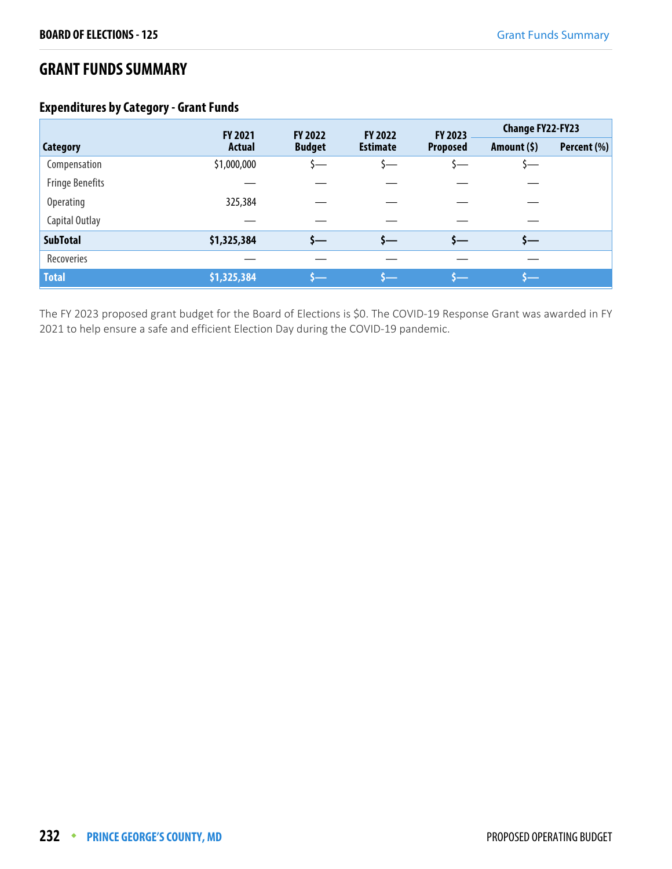### **GRANT FUNDS SUMMARY**

#### **Expenditures by Category - Grant Funds**

|                        | FY 2021       | FY 2022       | FY 2022         | FY 2023         | <b>Change FY22-FY23</b> |             |
|------------------------|---------------|---------------|-----------------|-----------------|-------------------------|-------------|
| <b>Category</b>        | <b>Actual</b> | <b>Budget</b> | <b>Estimate</b> | <b>Proposed</b> | Amount $(5)$            | Percent (%) |
| Compensation           | \$1,000,000   |               | \—              |                 |                         |             |
| <b>Fringe Benefits</b> |               |               |                 |                 |                         |             |
| <b>Operating</b>       | 325,384       |               |                 |                 |                         |             |
| Capital Outlay         |               |               |                 |                 |                         |             |
| <b>SubTotal</b>        | \$1,325,384   | s—            |                 | s—              | s—                      |             |
| Recoveries             |               |               |                 |                 |                         |             |
| <b>Total</b>           | \$1,325,384   |               |                 |                 |                         |             |

The FY 2023 proposed grant budget for the Board of Elections is \$0. The COVID-19 Response Grant was awarded in FY 2021 to help ensure a safe and efficient Election Day during the COVID-19 pandemic.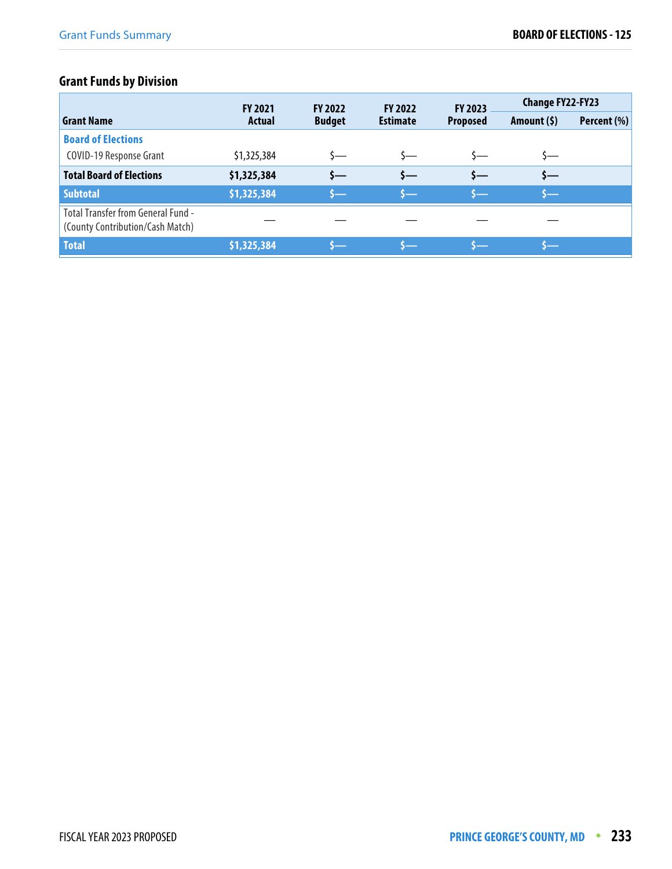## **Grant Funds by Division**

|                                                                               | <b>FY 2021</b> | <b>FY 2022</b> | <b>FY 2022</b>  | <b>FY 2023</b>  | <b>Change FY22-FY23</b> |             |
|-------------------------------------------------------------------------------|----------------|----------------|-----------------|-----------------|-------------------------|-------------|
| <b>Grant Name</b>                                                             | <b>Actual</b>  | <b>Budget</b>  | <b>Estimate</b> | <b>Proposed</b> | Amount (\$)             | Percent (%) |
| <b>Board of Elections</b>                                                     |                |                |                 |                 |                         |             |
| COVID-19 Response Grant                                                       | \$1,325,384    | s—             |                 |                 | s—                      |             |
| <b>Total Board of Elections</b>                                               | \$1,325,384    | s—             | s—              | $S-$            | \$—                     |             |
| <b>Subtotal</b>                                                               | \$1,325,384    | s—             |                 | s—              |                         |             |
| <b>Total Transfer from General Fund -</b><br>(County Contribution/Cash Match) |                |                |                 |                 |                         |             |
| <b>Total</b>                                                                  | \$1,325,384    |                |                 |                 |                         |             |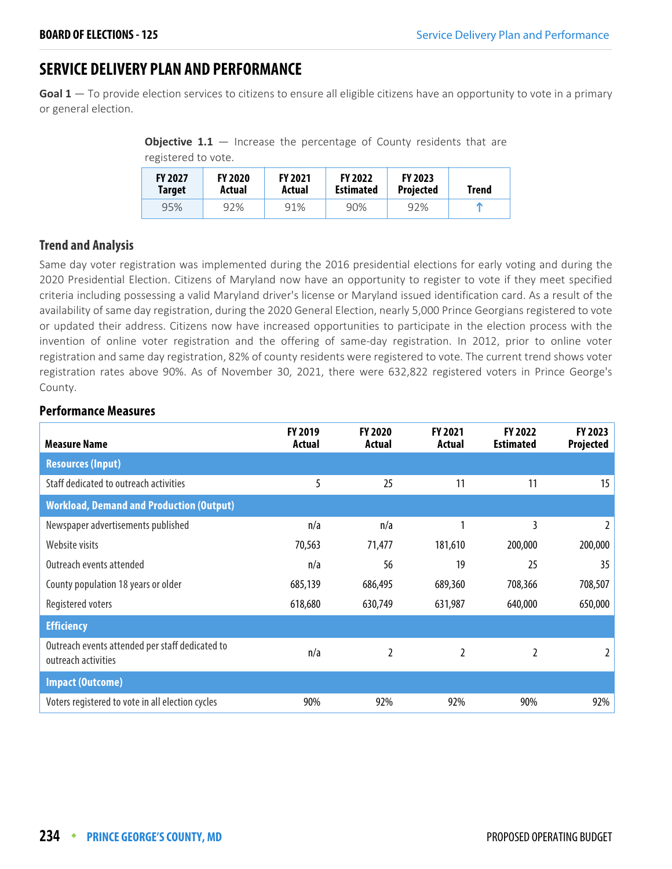## **SERVICE DELIVERY PLAN AND PERFORMANCE**

**Goal 1** — To provide election services to citizens to ensure all eligible citizens have an opportunity to vote in a primary or general election.

**Objective 1.1** – Increase the percentage of County residents that are registered to vote.

| <b>FY 2027</b> | <b>FY 2020</b> | <b>FY 2021</b> | <b>FY 2022</b>   | <b>FY 2023</b>   | Trend |
|----------------|----------------|----------------|------------------|------------------|-------|
| Target         | Actual         | Actual         | <b>Estimated</b> | <b>Projected</b> |       |
| 95%            | 92%            | 91%            | 90%              | 92%              | m     |

#### **Trend and Analysis**

Same day voter registration was implemented during the 2016 presidential elections for early voting and during the 2020 Presidential Election. Citizens of Maryland now have an opportunity to register to vote if they meet specified criteria including possessing a valid Maryland driver's license or Maryland issued identification card. As a result of the availability of same day registration, during the 2020 General Election, nearly 5,000 Prince Georgians registered to vote or updated their address. Citizens now have increased opportunities to participate in the election process with the invention of online voter registration and the offering of same-day registration. In 2012, prior to online voter registration and same day registration, 82% of county residents were registered to vote. The current trend shows voter registration rates above 90%. As of November 30, 2021, there were 632,822 registered voters in Prince George's County.

#### **Performance Measures**

| <b>Measure Name</b>                                                    | <b>FY 2019</b><br>Actual | <b>FY 2020</b><br>Actual | FY 2021<br>Actual | <b>FY 2022</b><br><b>Estimated</b> | <b>FY 2023</b><br>Projected |
|------------------------------------------------------------------------|--------------------------|--------------------------|-------------------|------------------------------------|-----------------------------|
| <b>Resources (Input)</b>                                               |                          |                          |                   |                                    |                             |
| Staff dedicated to outreach activities                                 | 5                        | 25                       | 11                | 11                                 | 15                          |
| <b>Workload, Demand and Production (Output)</b>                        |                          |                          |                   |                                    |                             |
| Newspaper advertisements published                                     | n/a                      | n/a                      | 1                 | 3                                  | $\overline{2}$              |
| Website visits                                                         | 70,563                   | 71,477                   | 181,610           | 200,000                            | 200,000                     |
| Outreach events attended                                               | n/a                      | 56                       | 19                | 25                                 | 35                          |
| County population 18 years or older                                    | 685,139                  | 686,495                  | 689,360           | 708,366                            | 708,507                     |
| Registered voters                                                      | 618,680                  | 630,749                  | 631,987           | 640,000                            | 650,000                     |
| <b>Efficiency</b>                                                      |                          |                          |                   |                                    |                             |
| Outreach events attended per staff dedicated to<br>outreach activities | n/a                      | 2                        | 2                 | $\overline{2}$                     | 2                           |
| <b>Impact (Outcome)</b>                                                |                          |                          |                   |                                    |                             |
| Voters registered to vote in all election cycles                       | 90%                      | 92%                      | 92%               | 90%                                | 92%                         |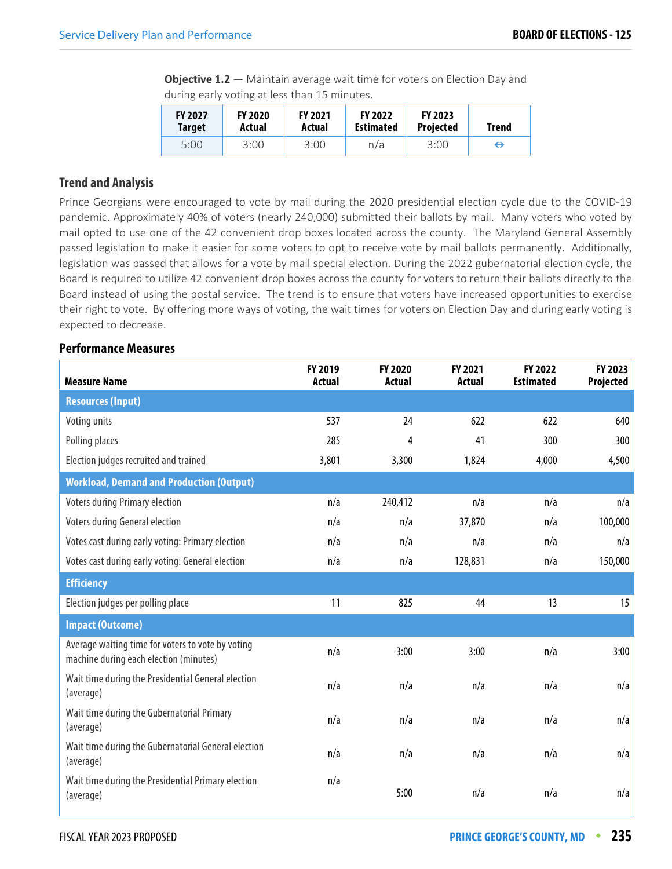**Objective 1.2** – Maintain average wait time for voters on Election Day and during early voting at less than 15 minutes.

| <b>FY 2027</b> | <b>FY 2020</b> | <b>FY 2021</b> | <b>FY 2022</b>   | <b>FY 2023</b>   | <b>Trend</b> |
|----------------|----------------|----------------|------------------|------------------|--------------|
| <b>Target</b>  | Actual         | Actual         | <b>Estimated</b> | <b>Projected</b> |              |
| 5:00           | 3:00           | 3:00           | n/a              | 3:00             | ⊖            |

#### **Trend and Analysis**

Prince Georgians were encouraged to vote by mail during the 2020 presidential election cycle due to the COVID-19 pandemic. Approximately 40% of voters (nearly 240,000) submitted their ballots by mail. Many voters who voted by mail opted to use one of the 42 convenient drop boxes located across the county. The Maryland General Assembly passed legislation to make it easier for some voters to opt to receive vote by mail ballots permanently. Additionally, legislation was passed that allows for a vote by mail special election. During the 2022 gubernatorial election cycle, the Board is required to utilize 42 convenient drop boxes across the county for voters to return their ballots directly to the Board instead of using the postal service. The trend is to ensure that voters have increased opportunities to exercise their right to vote. By offering more ways of voting, the wait times for voters on Election Day and during early voting is expected to decrease.

#### **Performance Measures**

| <b>Measure Name</b>                                                                         | FY 2019<br><b>Actual</b> | FY 2020<br><b>Actual</b> | FY 2021<br><b>Actual</b> | FY 2022<br><b>Estimated</b> | FY 2023<br><b>Projected</b> |
|---------------------------------------------------------------------------------------------|--------------------------|--------------------------|--------------------------|-----------------------------|-----------------------------|
| <b>Resources (Input)</b>                                                                    |                          |                          |                          |                             |                             |
| Voting units                                                                                | 537                      | 24                       | 622                      | 622                         | 640                         |
| Polling places                                                                              | 285                      | 4                        | 41                       | 300                         | 300                         |
| Election judges recruited and trained                                                       | 3,801                    | 3,300                    | 1,824                    | 4,000                       | 4,500                       |
| <b>Workload, Demand and Production (Output)</b>                                             |                          |                          |                          |                             |                             |
| <b>Voters during Primary election</b>                                                       | n/a                      | 240,412                  | n/a                      | n/a                         | n/a                         |
| Voters during General election                                                              | n/a                      | n/a                      | 37,870                   | n/a                         | 100,000                     |
| Votes cast during early voting: Primary election                                            | n/a                      | n/a                      | n/a                      | n/a                         | n/a                         |
| Votes cast during early voting: General election                                            | n/a                      | n/a                      | 128,831                  | n/a                         | 150,000                     |
| <b>Efficiency</b>                                                                           |                          |                          |                          |                             |                             |
| Election judges per polling place                                                           | 11                       | 825                      | 44                       | 13                          | 15                          |
| <b>Impact (Outcome)</b>                                                                     |                          |                          |                          |                             |                             |
| Average waiting time for voters to vote by voting<br>machine during each election (minutes) | n/a                      | 3:00                     | 3:00                     | n/a                         | 3:00                        |
| Wait time during the Presidential General election<br>(average)                             | n/a                      | n/a                      | n/a                      | n/a                         | n/a                         |
| Wait time during the Gubernatorial Primary<br>(average)                                     | n/a                      | n/a                      | n/a                      | n/a                         | n/a                         |
| Wait time during the Gubernatorial General election<br>(average)                            | n/a                      | n/a                      | n/a                      | n/a                         | n/a                         |
| Wait time during the Presidential Primary election<br>(average)                             | n/a                      | 5:00                     | n/a                      | n/a                         | n/a                         |